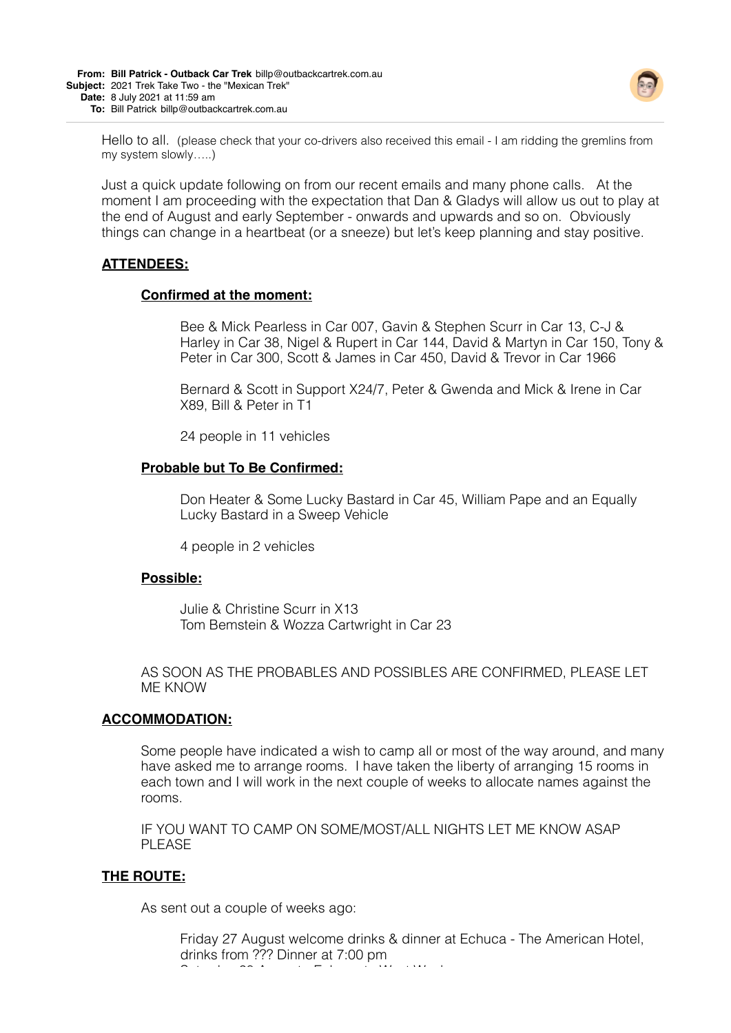

Hello to all. (please check that your co-drivers also received this email - I am ridding the gremlins from my system slowly…..)

Just a quick update following on from our recent emails and many phone calls. At the moment I am proceeding with the expectation that Dan & Gladys will allow us out to play at the end of August and early September - onwards and upwards and so on. Obviously things can change in a heartbeat (or a sneeze) but let's keep planning and stay positive.

# **ATTENDEES:**

### **Confirmed at the moment:**

Bee & Mick Pearless in Car 007, Gavin & Stephen Scurr in Car 13, C-J & Harley in Car 38, Nigel & Rupert in Car 144, David & Martyn in Car 150, Tony & Peter in Car 300, Scott & James in Car 450, David & Trevor in Car 1966

Bernard & Scott in Support X24/7, Peter & Gwenda and Mick & Irene in Car X89, Bill & Peter in T1

24 people in 11 vehicles

### **Probable but To Be Confirmed:**

Don Heater & Some Lucky Bastard in Car 45, William Pape and an Equally Lucky Bastard in a Sweep Vehicle

4 people in 2 vehicles

## **Possible:**

Julie & Christine Scurr in X13 Tom Bemstein & Wozza Cartwright in Car 23

AS SOON AS THE PROBABLES AND POSSIBLES ARE CONFIRMED, PLEASE LET ME KNOW

#### **ACCOMMODATION:**

Some people have indicated a wish to camp all or most of the way around, and many have asked me to arrange rooms. I have taken the liberty of arranging 15 rooms in each town and I will work in the next couple of weeks to allocate names against the rooms.

IF YOU WANT TO CAMP ON SOME/MOST/ALL NIGHTS LET ME KNOW ASAP PL FASE

## **THE ROUTE:**

As sent out a couple of weeks ago:

Friday 27 August welcome drinks & dinner at Echuca - The American Hotel, drinks from ??? Dinner at 7:00 pm Saturday 28 August - Echuca to West Wyalong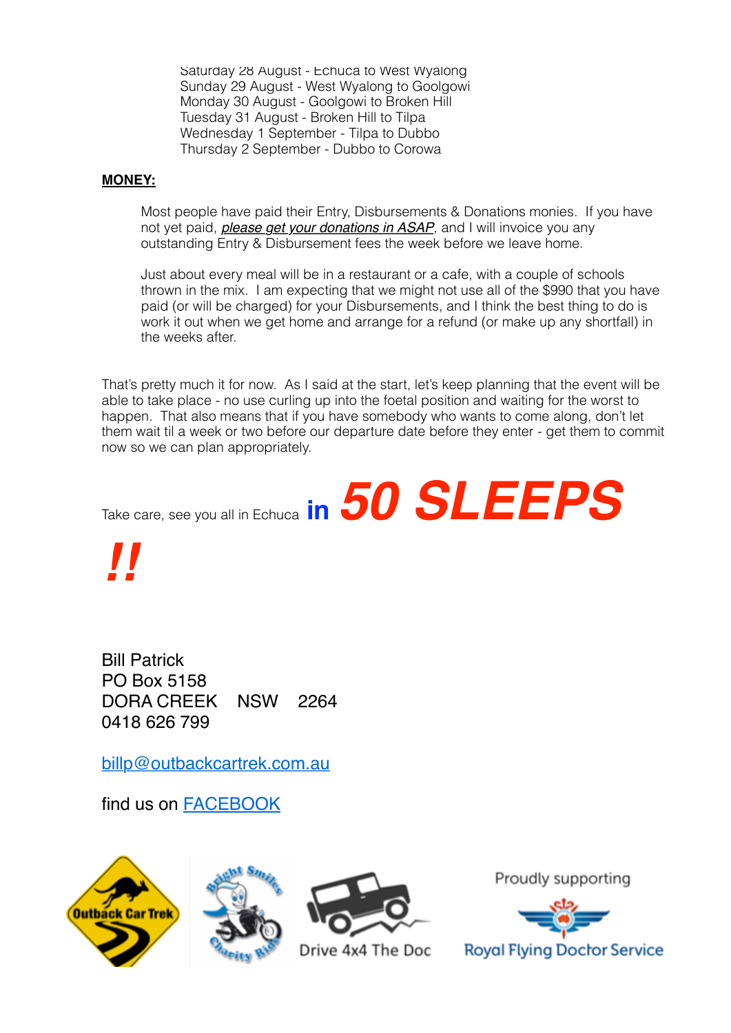Saturday 28 August - Echuca to West Wyalong Sunday 29 August - West Wyalong to Goolgowi Monday 30 August - Goolgowi to Broken Hill Tuesday 31 August - Broken Hill to Tilpa Wednesday 1 September - Tilpa to Dubbo Thursday 2 September - Dubbo to Corowa

# **MONEY:**

Most people have paid their Entry, Disbursements & Donations monies. If you have not yet paid, *please get your donations in ASAP*, and I will invoice you any outstanding Entry & Disbursement fees the week before we leave home.

Just about every meal will be in a restaurant or a cafe, with a couple of schools thrown in the mix. I am expecting that we might not use all of the \$990 that you have paid (or will be charged) for your Disbursements, and I think the best thing to do is work it out when we get home and arrange for a refund (or make up any shortfall) in the weeks after.

That's pretty much it for now. As I said at the start, let's keep planning that the event will be able to take place - no use curling up into the foetal position and waiting for the worst to happen. That also means that if you have somebody who wants to come along, don't let them wait til a week or two before our departure date before they enter - get them to commit now so we can plan appropriately.

Take care, see you all in Echuca **in** *50 SLEEPS*

*!!*

Bill Patrick PO Box 5158 DORA CREEK NSW 2264 0418 626 799

[billp@outbackcartrek.com.au](mailto:billp@outbackcartrek.com.au) 

find us on [FACEBOOK](https://www.facebook.com/www.outbackcartrek.com.au)







Drive 4x4 The Doc

Proudly supporting